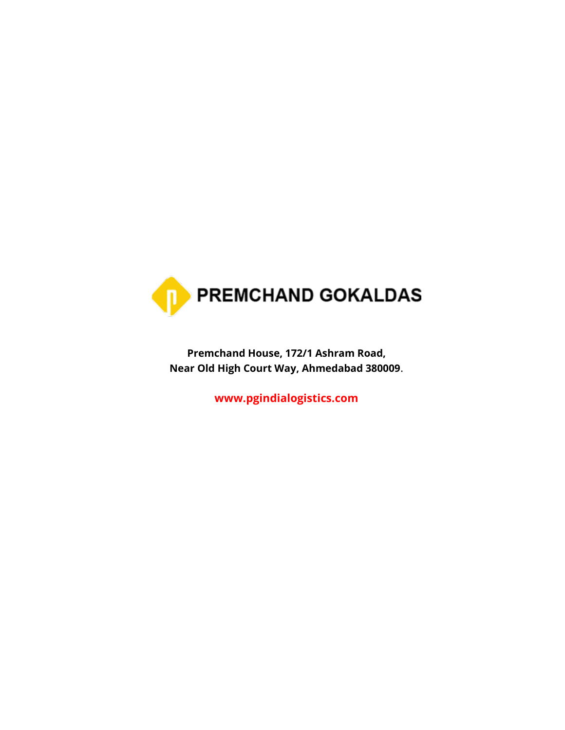

**Premchand House, 172/1 Ashram Road, Near Old High Court Way, Ahmedabad 380009**.

**[www.pgindialogistics.com](http://www.pgindialogistics.com/)**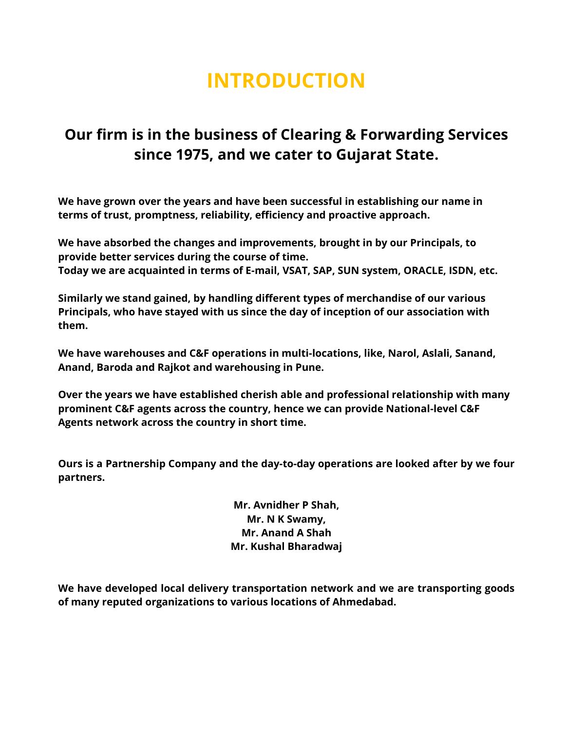# **INTRODUCTION**

### **Our firm is in the business of Clearing & Forwarding Services since 1975, and we cater to Gujarat State.**

**We have grown over the years and have been successful in establishing our name in terms of trust, promptness, reliability, efficiency and proactive approach.**

**We have absorbed the changes and improvements, brought in by our Principals, to provide better services during the course of time. Today we are acquainted in terms of E-mail, VSAT, SAP, SUN system, ORACLE, ISDN, etc.** 

**Similarly we stand gained, by handling different types of merchandise of our various Principals, who have stayed with us since the day of inception of our association with them.**

**We have warehouses and C&F operations in multi-locations, like, Narol, Aslali, Sanand, Anand, Baroda and Rajkot and warehousing in Pune.**

**Over the years we have established cherish able and professional relationship with many prominent C&F agents across the country, hence we can provide National-level C&F Agents network across the country in short time.**

**Ours is a Partnership Company and the day-to-day operations are looked after by we four partners.**

> **Mr. Avnidher P Shah, Mr. N K Swamy, Mr. Anand A Shah Mr. Kushal Bharadwaj**

**We have developed local delivery transportation network and we are transporting goods of many reputed organizations to various locations of Ahmedabad.**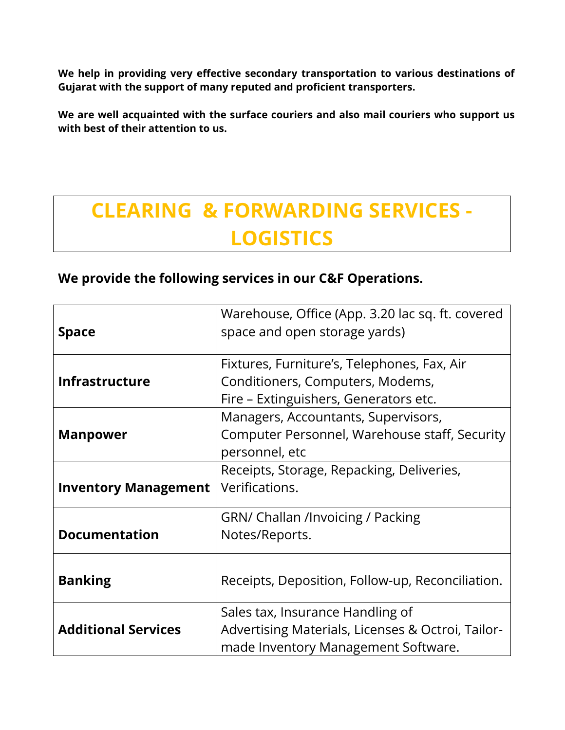**We help in providing very effective secondary transportation to various destinations of Gujarat with the support of many reputed and proficient transporters.**

**We are well acquainted with the surface couriers and also mail couriers who support us with best of their attention to us.**

# **CLEARING & FORWARDING SERVICES - LOGISTICS**

#### **We provide the following services in our C&F Operations.**

|                             | Warehouse, Office (App. 3.20 lac sq. ft. covered  |
|-----------------------------|---------------------------------------------------|
| <b>Space</b>                | space and open storage yards)                     |
|                             | Fixtures, Furniture's, Telephones, Fax, Air       |
| <b>Infrastructure</b>       | Conditioners, Computers, Modems,                  |
|                             | Fire - Extinguishers, Generators etc.             |
|                             | Managers, Accountants, Supervisors,               |
| <b>Manpower</b>             | Computer Personnel, Warehouse staff, Security     |
|                             | personnel, etc                                    |
|                             | Receipts, Storage, Repacking, Deliveries,         |
| <b>Inventory Management</b> | Verifications.                                    |
|                             | <b>GRN/ Challan /Invoicing / Packing</b>          |
| <b>Documentation</b>        | Notes/Reports.                                    |
|                             |                                                   |
| <b>Banking</b>              | Receipts, Deposition, Follow-up, Reconciliation.  |
|                             |                                                   |
|                             | Sales tax, Insurance Handling of                  |
| <b>Additional Services</b>  | Advertising Materials, Licenses & Octroi, Tailor- |
|                             | made Inventory Management Software.               |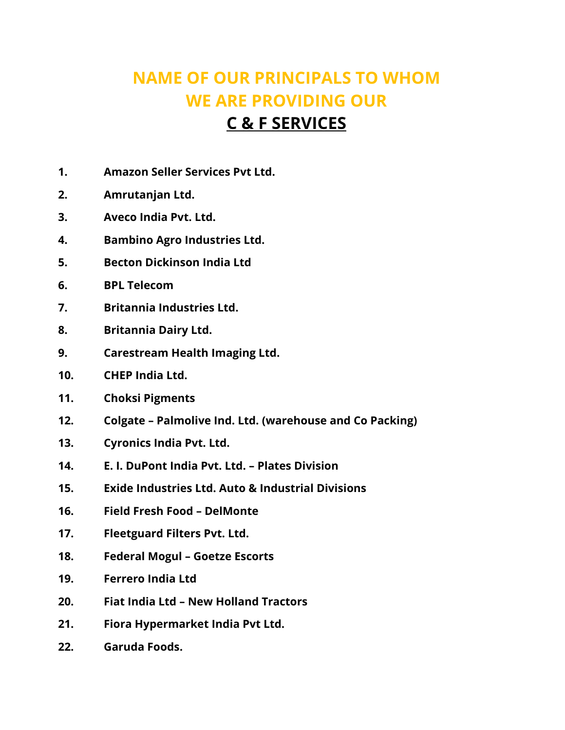## **NAME OF OUR PRINCIPALS TO WHOM WE ARE PROVIDING OUR**

### **C & F SERVICES**

- **1. Amazon Seller Services Pvt Ltd.**
- **2. Amrutanjan Ltd.**
- **3. Aveco India Pvt. Ltd.**
- **4. Bambino Agro Industries Ltd.**
- **5. Becton Dickinson India Ltd**
- **6. BPL Telecom**
- **7. Britannia Industries Ltd.**
- **8. Britannia Dairy Ltd.**
- **9. Carestream Health Imaging Ltd.**
- **10. CHEP India Ltd.**
- **11. Choksi Pigments**
- **12. Colgate – Palmolive Ind. Ltd. (warehouse and Co Packing)**
- **13. Cyronics India Pvt. Ltd.**
- **14. E. I. DuPont India Pvt. Ltd. – Plates Division**
- **15. Exide Industries Ltd. Auto & Industrial Divisions**
- **16. Field Fresh Food – DelMonte**
- **17. Fleetguard Filters Pvt. Ltd.**
- **18. Federal Mogul – Goetze Escorts**
- **19. Ferrero India Ltd**
- **20. Fiat India Ltd – New Holland Tractors**
- **21. Fiora Hypermarket India Pvt Ltd.**
- **22. Garuda Foods.**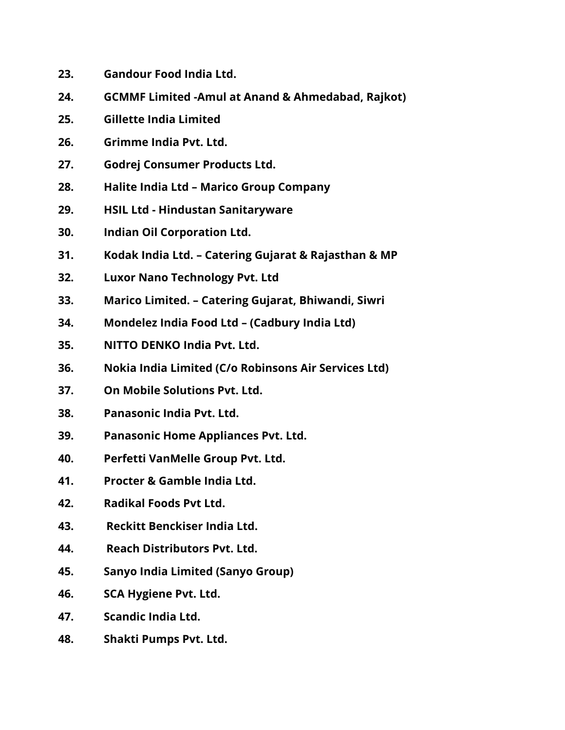- **23. Gandour Food India Ltd.**
- **24. GCMMF Limited -Amul at Anand & Ahmedabad, Rajkot)**
- **25. Gillette India Limited**
- **26. Grimme India Pvt. Ltd.**
- **27. Godrej Consumer Products Ltd.**
- **28. Halite India Ltd – Marico Group Company**
- **29. HSIL Ltd - Hindustan Sanitaryware**
- **30. Indian Oil Corporation Ltd.**
- **31. Kodak India Ltd. – Catering Gujarat & Rajasthan & MP**
- **32. Luxor Nano Technology Pvt. Ltd**
- **33. Marico Limited. – Catering Gujarat, Bhiwandi, Siwri**
- **34. Mondelez India Food Ltd – (Cadbury India Ltd)**
- **35. NITTO DENKO India Pvt. Ltd.**
- **36. Nokia India Limited (C/o Robinsons Air Services Ltd)**
- **37. On Mobile Solutions Pvt. Ltd.**
- **38. Panasonic India Pvt. Ltd.**
- **39. Panasonic Home Appliances Pvt. Ltd.**
- **40. Perfetti VanMelle Group Pvt. Ltd.**
- **41. Procter & Gamble India Ltd.**
- **42. Radikal Foods Pvt Ltd.**
- **43. Reckitt Benckiser India Ltd.**
- **44. Reach Distributors Pvt. Ltd.**
- **45. Sanyo India Limited (Sanyo Group)**
- **46. SCA Hygiene Pvt. Ltd.**
- **47. Scandic India Ltd.**
- **48. Shakti Pumps Pvt. Ltd.**